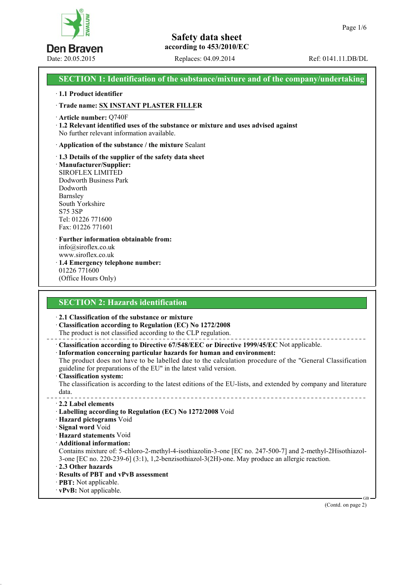

Date: 20.05.2015 Replaces: 04.09.2014 Ref: 0141.11.DB/DL

# **SECTION 1: Identification of the substance/mixture and of the company/undertaking**

#### · **1.1 Product identifier**

· **Trade name: SX INSTANT PLASTER FILLER**

· **Article number:** Q740F

· **1.2 Relevant identified uses of the substance or mixture and uses advised against** No further relevant information available.

· **Application of the substance / the mixture** Sealant

· **1.3 Details of the supplier of the safety data sheet** · **Manufacturer/Supplier:** SIROFLEX LIMITED Dodworth Business Park Dodworth Barnsley South Yorkshire S75 3SP Tel: 01226 771600 Fax: 01226 771601

· **Further information obtainable from:** info@siroflex.co.uk www.siroflex.co.uk · **1.4 Emergency telephone number:** 01226 771600

(Office Hours Only)

# **SECTION 2: Hazards identification**

· **2.1 Classification of the substance or mixture**

· **Classification according to Regulation (EC) No 1272/2008**

The product is not classified according to the CLP regulation.

· **Classification according to Directive 67/548/EEC or Directive 1999/45/EC** Not applicable.

· **Information concerning particular hazards for human and environment:** The product does not have to be labelled due to the calculation procedure of the "General Classification

guideline for preparations of the EU" in the latest valid version.

· **Classification system:**

The classification is according to the latest editions of the EU-lists, and extended by company and literature data. 

· **2.2 Label elements**

- · **Labelling according to Regulation (EC) No 1272/2008** Void
- · **Hazard pictograms** Void
- · **Signal word** Void

· **Hazard statements** Void

· **Additional information:**

Contains mixture of: 5-chloro-2-methyl-4-isothiazolin-3-one [EC no. 247-500-7] and 2-methyl-2Hisothiazol-3-one [EC no. 220-239-6] (3:1), 1,2-benzisothiazol-3(2H)-one. May produce an allergic reaction.

- · **2.3 Other hazards**
- · **Results of PBT and vPvB assessment**
- · **PBT:** Not applicable.
- · **vPvB:** Not applicable.

(Contd. on page 2)

GB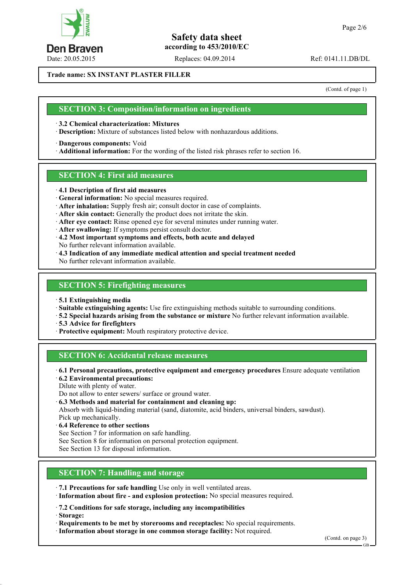

Date: 20.05.2015 Replaces: 04.09.2014 Ref: 0141.11.DB/DL

**Trade name: SX INSTANT PLASTER FILLER**

(Contd. of page 1)

#### **SECTION 3: Composition/information on ingredients**

· **3.2 Chemical characterization: Mixtures**

· **Description:** Mixture of substances listed below with nonhazardous additions.

· **Dangerous components:** Void

· **Additional information:** For the wording of the listed risk phrases refer to section 16.

#### **SECTION 4: First aid measures**

· **4.1 Description of first aid measures**

· **General information:** No special measures required.

- · **After inhalation:** Supply fresh air; consult doctor in case of complaints.
- · **After skin contact:** Generally the product does not irritate the skin.
- · **After eye contact:** Rinse opened eye for several minutes under running water.

· **After swallowing:** If symptoms persist consult doctor.

· **4.2 Most important symptoms and effects, both acute and delayed**

No further relevant information available.

· **4.3 Indication of any immediate medical attention and special treatment needed**

No further relevant information available.

#### **SECTION 5: Firefighting measures**

· **5.1 Extinguishing media**

· **Suitable extinguishing agents:** Use fire extinguishing methods suitable to surrounding conditions.

· **5.2 Special hazards arising from the substance or mixture** No further relevant information available.

· **5.3 Advice for firefighters**

· **Protective equipment:** Mouth respiratory protective device.

#### **SECTION 6: Accidental release measures**

· **6.1 Personal precautions, protective equipment and emergency procedures** Ensure adequate ventilation

· **6.2 Environmental precautions:**

Dilute with plenty of water.

Do not allow to enter sewers/ surface or ground water.

· **6.3 Methods and material for containment and cleaning up:**

Absorb with liquid-binding material (sand, diatomite, acid binders, universal binders, sawdust).

Pick up mechanically.

· **6.4 Reference to other sections**

See Section 7 for information on safe handling.

See Section 8 for information on personal protection equipment.

See Section 13 for disposal information.

# **SECTION 7: Handling and storage**

· **7.1 Precautions for safe handling** Use only in well ventilated areas.

· **Information about fire - and explosion protection:** No special measures required.

· **7.2 Conditions for safe storage, including any incompatibilities**

· **Storage:**

· **Requirements to be met by storerooms and receptacles:** No special requirements.

· **Information about storage in one common storage facility:** Not required.

(Contd. on page 3)

GB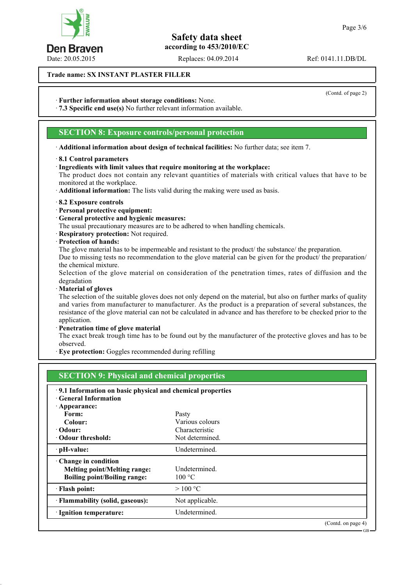Date: 20.05.2015 Replaces: 04.09.2014 Ref: 0141.11.DB/DL

**Trade name: SX INSTANT PLASTER FILLER**

· **Further information about storage conditions:** None.

· **7.3 Specific end use(s)** No further relevant information available.

#### **SECTION 8: Exposure controls/personal protection**

· **Additional information about design of technical facilities:** No further data; see item 7.

#### · **8.1 Control parameters**

· **Ingredients with limit values that require monitoring at the workplace:**

The product does not contain any relevant quantities of materials with critical values that have to be monitored at the workplace.

· **Additional information:** The lists valid during the making were used as basis.

- · **8.2 Exposure controls**
- · **Personal protective equipment:**
- · **General protective and hygienic measures:**
- The usual precautionary measures are to be adhered to when handling chemicals.
- · **Respiratory protection:** Not required.
- · **Protection of hands:**

The glove material has to be impermeable and resistant to the product/ the substance/ the preparation. Due to missing tests no recommendation to the glove material can be given for the product/ the preparation/ the chemical mixture.

Selection of the glove material on consideration of the penetration times, rates of diffusion and the degradation

· **Material of gloves**

The selection of the suitable gloves does not only depend on the material, but also on further marks of quality and varies from manufacturer to manufacturer. As the product is a preparation of several substances, the resistance of the glove material can not be calculated in advance and has therefore to be checked prior to the application.

· **Penetration time of glove material**

The exact break trough time has to be found out by the manufacturer of the protective gloves and has to be observed.

· **Eye protection:** Goggles recommended during refilling

| <b>SECTION 9: Physical and chemical properties</b>        |                 |                    |  |
|-----------------------------------------------------------|-----------------|--------------------|--|
| 9.1 Information on basic physical and chemical properties |                 |                    |  |
| <b>General Information</b>                                |                 |                    |  |
| Appearance:                                               |                 |                    |  |
| Form:                                                     | Pasty           |                    |  |
| Colour:                                                   | Various colours |                    |  |
| · Odour:                                                  | Characteristic  |                    |  |
| • Odour threshold:                                        | Not determined. |                    |  |
| · pH-value:                                               | Undetermined.   |                    |  |
| Change in condition                                       |                 |                    |  |
| <b>Melting point/Melting range:</b>                       | Undetermined.   |                    |  |
| <b>Boiling point/Boiling range:</b>                       | 100 °C          |                    |  |
| · Flash point:                                            | >100 °C         |                    |  |
| · Flammability (solid, gaseous):                          | Not applicable. |                    |  |
| <b>Ignition temperature:</b>                              | Undetermined.   |                    |  |
|                                                           |                 | (Contd. on page 4) |  |



(Contd. of page 2)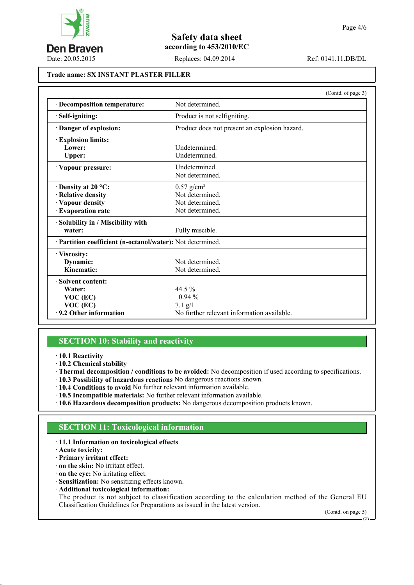

Date: 20.05.2015 Replaces: 04.09.2014 Ref: 0141.11.DB/DL

#### **Trade name: SX INSTANT PLASTER FILLER**

|                                                            | (Contd. of page 3)                            |  |
|------------------------------------------------------------|-----------------------------------------------|--|
| Decomposition temperature:                                 | Not determined                                |  |
| Self-igniting:                                             | Product is not selfigniting.                  |  |
| Danger of explosion:                                       | Product does not present an explosion hazard. |  |
| <b>Explosion limits:</b>                                   |                                               |  |
| Lower:                                                     | <b>Undetermined</b>                           |  |
| <b>Upper:</b>                                              | Undetermined.                                 |  |
| Vapour pressure:                                           | Undetermined.                                 |  |
|                                                            | Not determined.                               |  |
| $\cdot$ Density at 20 °C:                                  | $0.57$ g/cm <sup>3</sup>                      |  |
| · Relative density                                         | Not determined.                               |  |
| · Vapour density                                           | Not determined.                               |  |
| <b>Evaporation rate</b>                                    | Not determined.                               |  |
| Solubility in / Miscibility with                           |                                               |  |
| water:                                                     | Fully miscible.                               |  |
| · Partition coefficient (n-octanol/water): Not determined. |                                               |  |
| · Viscosity:                                               |                                               |  |
| Dynamic:                                                   | Not determined.                               |  |
| Kinematic:                                                 | Not determined.                               |  |
| Solvent content:                                           |                                               |  |
| Water:                                                     | 44.5 $\%$                                     |  |
| $VOC$ (EC)                                                 | $0.94\%$                                      |  |
| $VOC$ (EC)                                                 | $7.1$ g/l                                     |  |
| 9.2 Other information                                      | No further relevant information available.    |  |

#### **SECTION 10: Stability and reactivity**

- · **10.1 Reactivity**
- · **10.2 Chemical stability**
- · **Thermal decomposition / conditions to be avoided:** No decomposition if used according to specifications.
- · **10.3 Possibility of hazardous reactions** No dangerous reactions known.
- · **10.4 Conditions to avoid** No further relevant information available.
- · **10.5 Incompatible materials:** No further relevant information available.
- · **10.6 Hazardous decomposition products:** No dangerous decomposition products known.

#### **SECTION 11: Toxicological information**

#### · **11.1 Information on toxicological effects**

· **Acute toxicity:**

- · **Primary irritant effect:**
- · **on the skin:** No irritant effect.
- · **on the eye:** No irritating effect.
- · **Sensitization:** No sensitizing effects known.
- · **Additional toxicological information:**

The product is not subject to classification according to the calculation method of the General EU Classification Guidelines for Preparations as issued in the latest version.

Page 4/6

(Contd. on page 5)

GB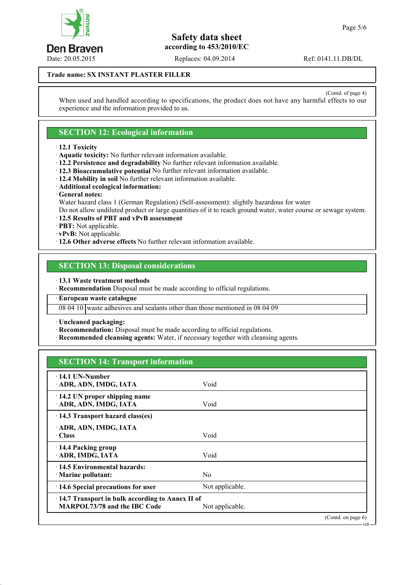

Date: 20.05.2015 Replaces: 04.09.2014 Ref: 0141.11.DB/DL

**Trade name: SX INSTANT PLASTER FILLER**

(Contd. of page 4) When used and handled according to specifications, the product does not have any harmful effects to our experience and the information provided to us.

# **SECTION 12: Ecological information**

- · **12.1 Toxicity**
- · **Aquatic toxicity:** No further relevant information available.
- · **12.2 Persistence and degradability** No further relevant information available.
- · **12.3 Bioaccumulative potential** No further relevant information available.
- · **12.4 Mobility in soil** No further relevant information available.
- · **Additional ecological information:**
- · **General notes:**

Water hazard class 1 (German Regulation) (Self-assessment): slightly hazardous for water

Do not allow undiluted product or large quantities of it to reach ground water, water course or sewage system.

- · **12.5 Results of PBT and vPvB assessment**
- · **PBT:** Not applicable.
- · **vPvB:** Not applicable.
- · **12.6 Other adverse effects** No further relevant information available.

# **SECTION 13: Disposal considerations**

· **13.1 Waste treatment methods**

· **Recommendation** Disposal must be made according to official regulations.

· **European waste catalogue**

08 04 10 waste adhesives and sealants other than those mentioned in 08 04 09

· **Uncleaned packaging:**

· **Recommendation:** Disposal must be made according to official regulations.

· **Recommended cleansing agents:** Water, if necessary together with cleansing agents.

# **SECTION 14: Transport information**

| $-14.1$ UN-Number                               |                 |                   |
|-------------------------------------------------|-----------------|-------------------|
| ADR, ADN, IMDG, IATA                            | Void            |                   |
|                                                 |                 |                   |
| $\cdot$ 14.2 UN proper shipping name            |                 |                   |
| ADR, ADN, IMDG, IATA                            | Void            |                   |
| 14.3 Transport hazard class(es)                 |                 |                   |
| ADR, ADN, IMDG, IATA                            |                 |                   |
| · Class                                         | Void            |                   |
|                                                 |                 |                   |
| 14.4 Packing group                              |                 |                   |
| ADR, IMDG, IATA                                 | Void            |                   |
| 14.5 Environmental hazards:                     |                 |                   |
| · Marine pollutant:                             | N <sub>0</sub>  |                   |
|                                                 |                 |                   |
| 14.6 Special precautions for user               | Not applicable. |                   |
| 14.7 Transport in bulk according to Annex II of |                 |                   |
| MARPOL73/78 and the IBC Code                    | Not applicable. |                   |
|                                                 |                 | (Cond. on page 6) |

GB